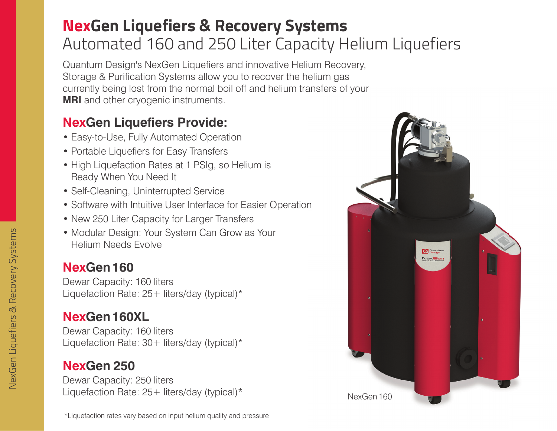## **NexGen Liquefiers & Recovery Systems** Automated 160 and 250 Liter Capacity Helium Liquefiers

Quantum Design's NexGen Liquefiers and innovative Helium Recovery, Storage & Purification Systems allow you to recover the helium gas currently being lost from the normal boil off and helium transfers of your ansfers of your **MRI** and other cryogenic instruments.

#### **NexGen Liquefiers Provide:**

- Easy-to-Use, Fully Automated Operation
- Portable Liquefiers for Easy Transfers
- High Liquefaction Rates at 1 PSIg, so Helium is Ready When You Need It
- Self-Cleaning, Uninterrupted Service
- Software with Intuitive User Interface for Easier Operation
- New 250 Liter Capacity for Larger Transfers
- Modular Design: Your System Can Grow as Your Helium Needs Evolve

#### **NexGen160**

Dewar Capacity: 160 liters Liquefaction Rate:  $25+$  liters/day (typical)\*

## **NexGen160XL**

Dewar Capacity: 160 liters Liquefaction Rate:  $30+$  liters/day (typical)\*

## **NexGen 250**

Dewar Capacity: 250 liters Liquefaction Rate:  $25+$  liters/day (typical)\*

\*Liquefaction rates vary based on input helium quality and pressure

n<br>NexGen 160<br>NexGen 160 **Q** Besign